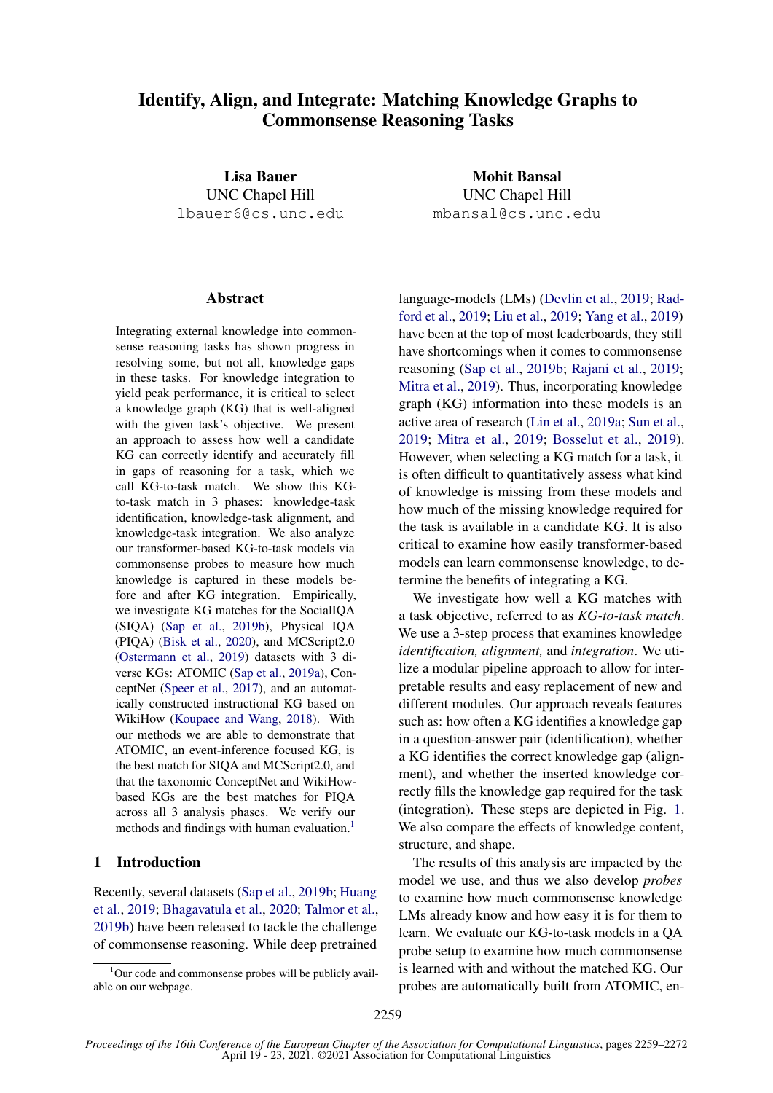# Identify, Align, and Integrate: Matching Knowledge Graphs to Commonsense Reasoning Tasks

Lisa Bauer UNC Chapel Hill lbauer6@cs.unc.edu

#### **Abstract**

Integrating external knowledge into commonsense reasoning tasks has shown progress in resolving some, but not all, knowledge gaps in these tasks. For knowledge integration to yield peak performance, it is critical to select a knowledge graph (KG) that is well-aligned with the given task's objective. We present an approach to assess how well a candidate KG can correctly identify and accurately fill in gaps of reasoning for a task, which we call KG-to-task match. We show this KGto-task match in 3 phases: knowledge-task identification, knowledge-task alignment, and knowledge-task integration. We also analyze our transformer-based KG-to-task models via commonsense probes to measure how much knowledge is captured in these models before and after KG integration. Empirically, we investigate KG matches for the SocialIQA (SIQA) [\(Sap et al.,](#page-10-0) [2019b\)](#page-10-0), Physical IQA (PIQA) [\(Bisk et al.,](#page-9-0) [2020\)](#page-9-0), and MCScript2.0 [\(Ostermann et al.,](#page-9-1) [2019\)](#page-9-1) datasets with 3 diverse KGs: ATOMIC [\(Sap et al.,](#page-10-1) [2019a\)](#page-10-1), ConceptNet [\(Speer et al.,](#page-10-2) [2017\)](#page-10-2), and an automatically constructed instructional KG based on WikiHow [\(Koupaee and Wang,](#page-9-2) [2018\)](#page-9-2). With our methods we are able to demonstrate that ATOMIC, an event-inference focused KG, is the best match for SIQA and MCScript2.0, and that the taxonomic ConceptNet and WikiHowbased KGs are the best matches for PIQA across all 3 analysis phases. We verify our methods and findings with human evaluation.<sup>[1](#page-0-0)</sup>

## 1 Introduction

Recently, several datasets [\(Sap et al.,](#page-10-0) [2019b;](#page-10-0) [Huang](#page-9-3) [et al.,](#page-9-3) [2019;](#page-9-3) [Bhagavatula et al.,](#page-9-4) [2020;](#page-9-4) [Talmor et al.,](#page-10-3) [2019b\)](#page-10-3) have been released to tackle the challenge of commonsense reasoning. While deep pretrained

Mohit Bansal UNC Chapel Hill mbansal@cs.unc.edu

language-models (LMs) [\(Devlin et al.,](#page-9-5) [2019;](#page-9-5) [Rad](#page-9-6)[ford et al.,](#page-9-6) [2019;](#page-9-6) [Liu et al.,](#page-9-7) [2019;](#page-9-7) [Yang et al.,](#page-10-4) [2019\)](#page-10-4) have been at the top of most leaderboards, they still have shortcomings when it comes to commonsense reasoning [\(Sap et al.,](#page-10-0) [2019b;](#page-10-0) [Rajani et al.,](#page-10-5) [2019;](#page-10-5) [Mitra et al.,](#page-9-8) [2019\)](#page-9-8). Thus, incorporating knowledge graph (KG) information into these models is an active area of research [\(Lin et al.,](#page-9-9) [2019a;](#page-9-9) [Sun et al.,](#page-10-6) [2019;](#page-10-6) [Mitra et al.,](#page-9-8) [2019;](#page-9-8) [Bosselut et al.,](#page-9-10) [2019\)](#page-9-10). However, when selecting a KG match for a task, it is often difficult to quantitatively assess what kind of knowledge is missing from these models and how much of the missing knowledge required for the task is available in a candidate KG. It is also critical to examine how easily transformer-based models can learn commonsense knowledge, to determine the benefits of integrating a KG.

We investigate how well a KG matches with a task objective, referred to as *KG-to-task match*. We use a 3-step process that examines knowledge *identification, alignment,* and *integration*. We utilize a modular pipeline approach to allow for interpretable results and easy replacement of new and different modules. Our approach reveals features such as: how often a KG identifies a knowledge gap in a question-answer pair (identification), whether a KG identifies the correct knowledge gap (alignment), and whether the inserted knowledge correctly fills the knowledge gap required for the task (integration). These steps are depicted in Fig. [1.](#page-1-0) We also compare the effects of knowledge content, structure, and shape.

The results of this analysis are impacted by the model we use, and thus we also develop *probes* to examine how much commonsense knowledge LMs already know and how easy it is for them to learn. We evaluate our KG-to-task models in a QA probe setup to examine how much commonsense is learned with and without the matched KG. Our probes are automatically built from ATOMIC, en-

<span id="page-0-0"></span> $1$ Our code and commonsense probes will be publicly available on our webpage.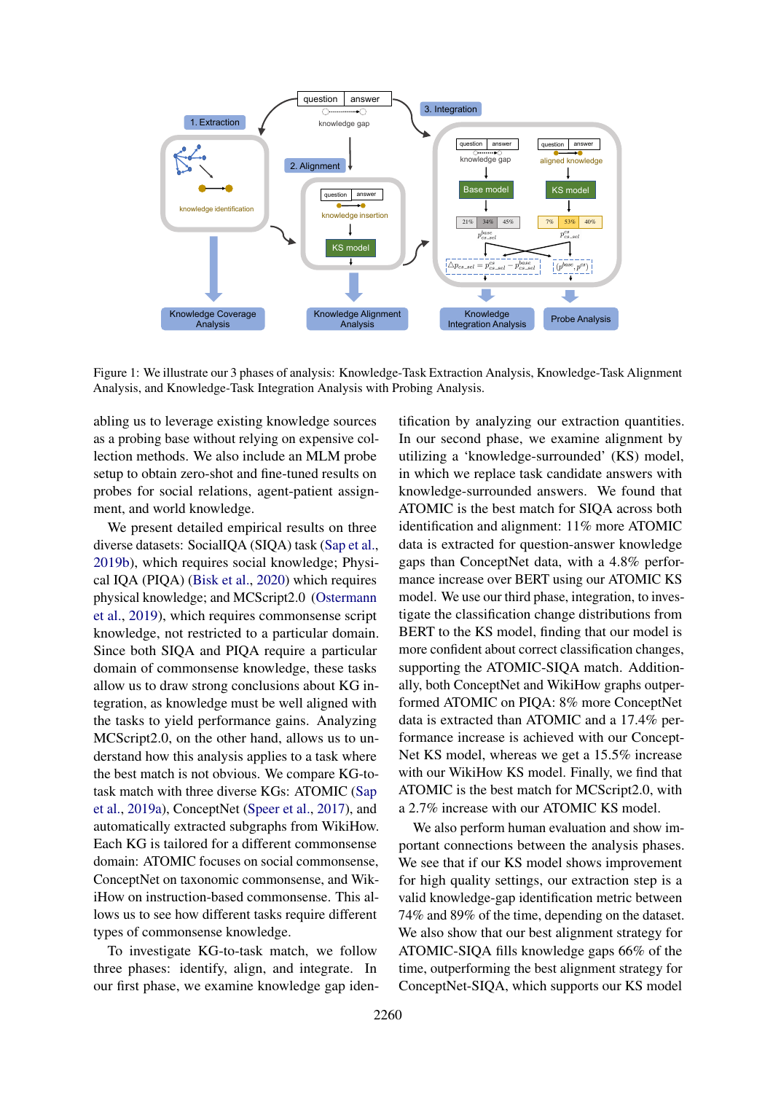<span id="page-1-0"></span>

Figure 1: We illustrate our 3 phases of analysis: Knowledge-Task Extraction Analysis, Knowledge-Task Alignment Analysis, and Knowledge-Task Integration Analysis with Probing Analysis.

abling us to leverage existing knowledge sources as a probing base without relying on expensive collection methods. We also include an MLM probe setup to obtain zero-shot and fine-tuned results on probes for social relations, agent-patient assignment, and world knowledge.

We present detailed empirical results on three diverse datasets: SocialIQA (SIQA) task [\(Sap et al.,](#page-10-0) [2019b\)](#page-10-0), which requires social knowledge; Physical IQA (PIQA) [\(Bisk et al.,](#page-9-0) [2020\)](#page-9-0) which requires physical knowledge; and MCScript2.0 [\(Ostermann](#page-9-1) [et al.,](#page-9-1) [2019\)](#page-9-1), which requires commonsense script knowledge, not restricted to a particular domain. Since both SIQA and PIQA require a particular domain of commonsense knowledge, these tasks allow us to draw strong conclusions about KG integration, as knowledge must be well aligned with the tasks to yield performance gains. Analyzing MCScript2.0, on the other hand, allows us to understand how this analysis applies to a task where the best match is not obvious. We compare KG-totask match with three diverse KGs: ATOMIC [\(Sap](#page-10-1) [et al.,](#page-10-1) [2019a\)](#page-10-1), ConceptNet [\(Speer et al.,](#page-10-2) [2017\)](#page-10-2), and automatically extracted subgraphs from WikiHow. Each KG is tailored for a different commonsense domain: ATOMIC focuses on social commonsense, ConceptNet on taxonomic commonsense, and WikiHow on instruction-based commonsense. This allows us to see how different tasks require different types of commonsense knowledge.

To investigate KG-to-task match, we follow three phases: identify, align, and integrate. In our first phase, we examine knowledge gap iden-

tification by analyzing our extraction quantities. In our second phase, we examine alignment by utilizing a 'knowledge-surrounded' (KS) model, in which we replace task candidate answers with knowledge-surrounded answers. We found that ATOMIC is the best match for SIQA across both identification and alignment: 11% more ATOMIC data is extracted for question-answer knowledge gaps than ConceptNet data, with a 4.8% performance increase over BERT using our ATOMIC KS model. We use our third phase, integration, to investigate the classification change distributions from BERT to the KS model, finding that our model is more confident about correct classification changes, supporting the ATOMIC-SIQA match. Additionally, both ConceptNet and WikiHow graphs outperformed ATOMIC on PIQA: 8% more ConceptNet data is extracted than ATOMIC and a 17.4% performance increase is achieved with our Concept-Net KS model, whereas we get a 15.5% increase with our WikiHow KS model. Finally, we find that ATOMIC is the best match for MCScript2.0, with a 2.7% increase with our ATOMIC KS model.

We also perform human evaluation and show important connections between the analysis phases. We see that if our KS model shows improvement for high quality settings, our extraction step is a valid knowledge-gap identification metric between 74% and 89% of the time, depending on the dataset. We also show that our best alignment strategy for ATOMIC-SIQA fills knowledge gaps 66% of the time, outperforming the best alignment strategy for ConceptNet-SIQA, which supports our KS model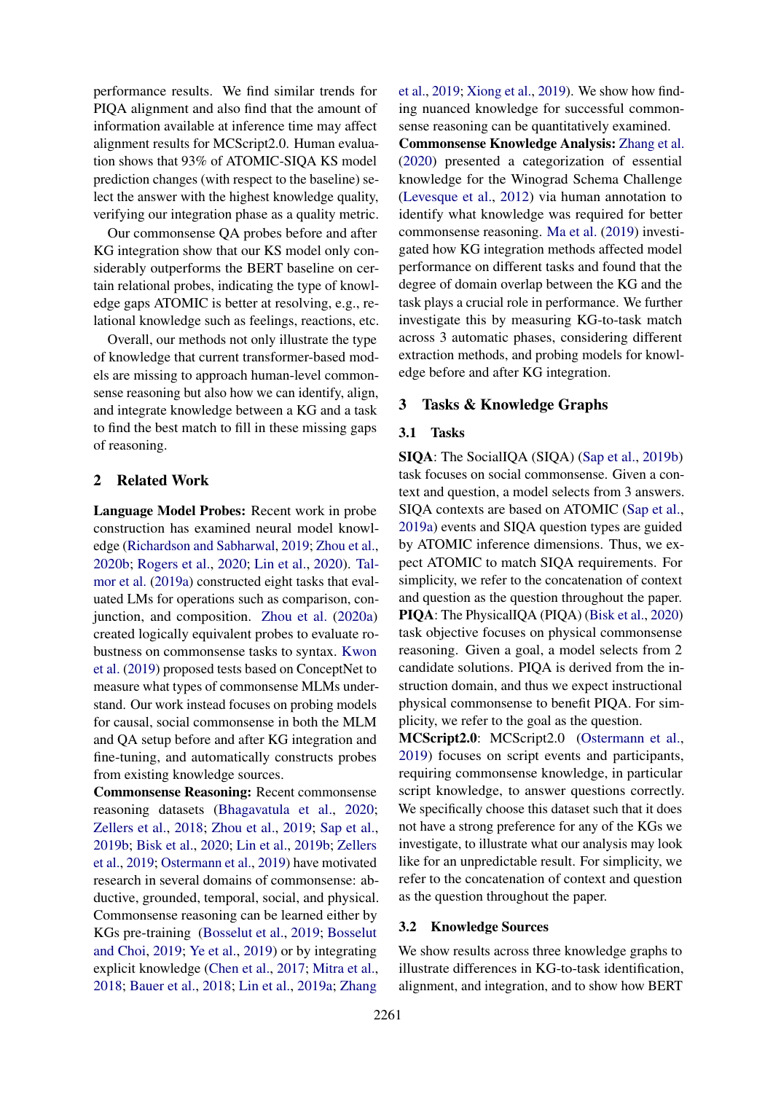performance results. We find similar trends for PIQA alignment and also find that the amount of information available at inference time may affect alignment results for MCScript2.0. Human evaluation shows that 93% of ATOMIC-SIQA KS model prediction changes (with respect to the baseline) select the answer with the highest knowledge quality, verifying our integration phase as a quality metric.

Our commonsense QA probes before and after KG integration show that our KS model only considerably outperforms the BERT baseline on certain relational probes, indicating the type of knowledge gaps ATOMIC is better at resolving, e.g., relational knowledge such as feelings, reactions, etc.

Overall, our methods not only illustrate the type of knowledge that current transformer-based models are missing to approach human-level commonsense reasoning but also how we can identify, align, and integrate knowledge between a KG and a task to find the best match to fill in these missing gaps of reasoning.

## 2 Related Work

Language Model Probes: Recent work in probe construction has examined neural model knowledge [\(Richardson and Sabharwal,](#page-10-7) [2019;](#page-10-7) [Zhou et al.,](#page-10-8) [2020b;](#page-10-8) [Rogers et al.,](#page-10-9) [2020;](#page-10-9) [Lin et al.,](#page-9-11) [2020\)](#page-9-11). [Tal](#page-10-10)[mor et al.](#page-10-10) [\(2019a\)](#page-10-10) constructed eight tasks that evaluated LMs for operations such as comparison, conjunction, and composition. [Zhou et al.](#page-10-11) [\(2020a\)](#page-10-11) created logically equivalent probes to evaluate robustness on commonsense tasks to syntax. [Kwon](#page-9-12) [et al.](#page-9-12) [\(2019\)](#page-9-12) proposed tests based on ConceptNet to measure what types of commonsense MLMs understand. Our work instead focuses on probing models for causal, social commonsense in both the MLM and QA setup before and after KG integration and fine-tuning, and automatically constructs probes from existing knowledge sources.

Commonsense Reasoning: Recent commonsense reasoning datasets [\(Bhagavatula et al.,](#page-9-4) [2020;](#page-9-4) [Zellers et al.,](#page-10-12) [2018;](#page-10-12) [Zhou et al.,](#page-10-13) [2019;](#page-10-13) [Sap et al.,](#page-10-0) [2019b;](#page-10-0) [Bisk et al.,](#page-9-0) [2020;](#page-9-0) [Lin et al.,](#page-9-13) [2019b;](#page-9-13) [Zellers](#page-10-14) [et al.,](#page-10-14) [2019;](#page-10-14) [Ostermann et al.,](#page-9-1) [2019\)](#page-9-1) have motivated research in several domains of commonsense: abductive, grounded, temporal, social, and physical. Commonsense reasoning can be learned either by KGs pre-training [\(Bosselut et al.,](#page-9-10) [2019;](#page-9-10) [Bosselut](#page-9-14) [and Choi,](#page-9-14) [2019;](#page-9-14) [Ye et al.,](#page-10-15) [2019\)](#page-10-15) or by integrating explicit knowledge [\(Chen et al.,](#page-9-15) [2017;](#page-9-15) [Mitra et al.,](#page-9-16) [2018;](#page-9-16) [Bauer et al.,](#page-9-17) [2018;](#page-9-17) [Lin et al.,](#page-9-9) [2019a;](#page-9-9) [Zhang](#page-10-16)

[et al.,](#page-10-16) [2019;](#page-10-16) [Xiong et al.,](#page-10-17) [2019\)](#page-10-17). We show how finding nuanced knowledge for successful commonsense reasoning can be quantitatively examined.

Commonsense Knowledge Analysis: [Zhang et al.](#page-10-18) [\(2020\)](#page-10-18) presented a categorization of essential knowledge for the Winograd Schema Challenge [\(Levesque et al.,](#page-9-18) [2012\)](#page-9-18) via human annotation to identify what knowledge was required for better commonsense reasoning. [Ma et al.](#page-9-19) [\(2019\)](#page-9-19) investigated how KG integration methods affected model performance on different tasks and found that the degree of domain overlap between the KG and the task plays a crucial role in performance. We further investigate this by measuring KG-to-task match across 3 automatic phases, considering different extraction methods, and probing models for knowledge before and after KG integration.

## 3 Tasks & Knowledge Graphs

### 3.1 Tasks

SIQA: The SocialIQA (SIQA) [\(Sap et al.,](#page-10-0) [2019b\)](#page-10-0) task focuses on social commonsense. Given a context and question, a model selects from 3 answers. SIQA contexts are based on ATOMIC [\(Sap et al.,](#page-10-1) [2019a\)](#page-10-1) events and SIQA question types are guided by ATOMIC inference dimensions. Thus, we expect ATOMIC to match SIQA requirements. For simplicity, we refer to the concatenation of context and question as the question throughout the paper. PIQA: The PhysicalIQA (PIQA) [\(Bisk et al.,](#page-9-0) [2020\)](#page-9-0) task objective focuses on physical commonsense reasoning. Given a goal, a model selects from 2 candidate solutions. PIQA is derived from the instruction domain, and thus we expect instructional physical commonsense to benefit PIQA. For simplicity, we refer to the goal as the question.

MCScript2.0: MCScript2.0 [\(Ostermann et al.,](#page-9-1) [2019\)](#page-9-1) focuses on script events and participants, requiring commonsense knowledge, in particular script knowledge, to answer questions correctly. We specifically choose this dataset such that it does not have a strong preference for any of the KGs we investigate, to illustrate what our analysis may look like for an unpredictable result. For simplicity, we refer to the concatenation of context and question as the question throughout the paper.

#### 3.2 Knowledge Sources

We show results across three knowledge graphs to illustrate differences in KG-to-task identification, alignment, and integration, and to show how BERT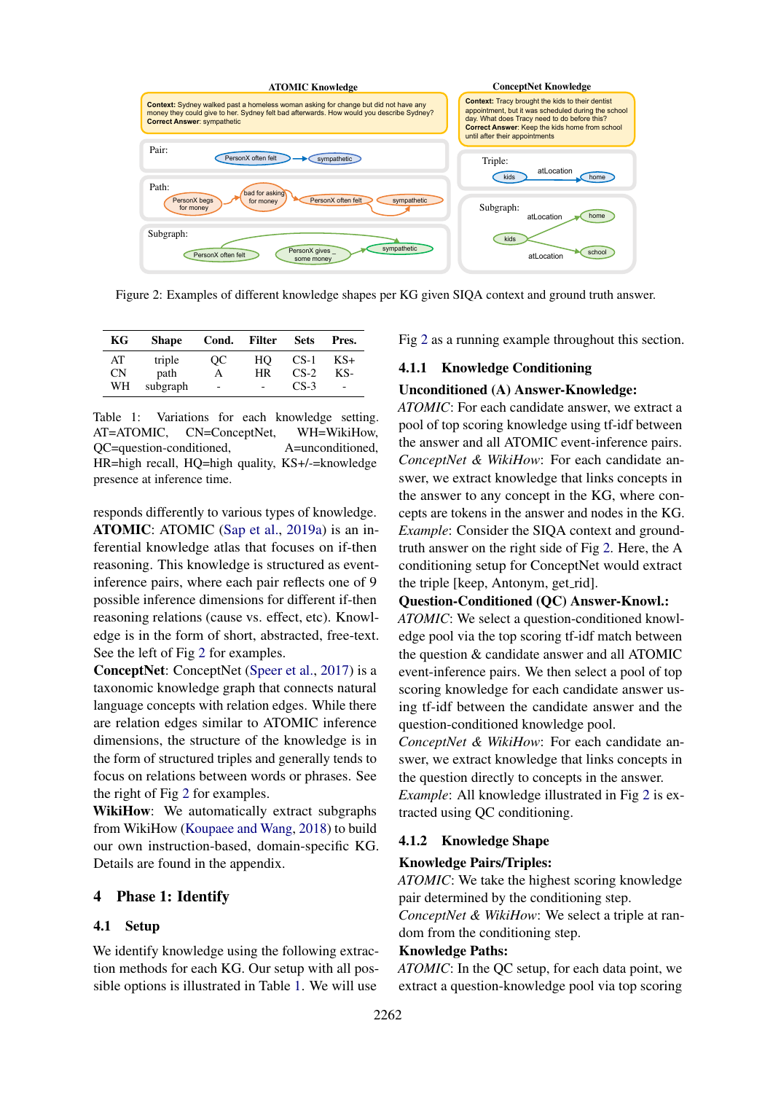<span id="page-3-0"></span>

Figure 2: Examples of different knowledge shapes per KG given SIQA context and ground truth answer.

<span id="page-3-1"></span>

| КG | <b>Shape</b> | Cond.                    | <b>Filter</b> | <b>Sets</b> | Pres.                    |
|----|--------------|--------------------------|---------------|-------------|--------------------------|
| AT | triple       | OС                       | HО            | $CS-1$      | KS+                      |
| CΝ | path         | А                        | HR            | $CS-2$      | KS-                      |
| WН | subgraph     | $\overline{\phantom{a}}$ |               | $CS-3$      | $\overline{\phantom{a}}$ |

Table 1: Variations for each knowledge setting. AT=ATOMIC, CN=ConceptNet, WH=WikiHow, QC=question-conditioned, A=unconditioned, HR=high recall, HQ=high quality, KS+/-=knowledge presence at inference time.

responds differently to various types of knowledge. ATOMIC: ATOMIC [\(Sap et al.,](#page-10-1) [2019a\)](#page-10-1) is an inferential knowledge atlas that focuses on if-then reasoning. This knowledge is structured as eventinference pairs, where each pair reflects one of 9 possible inference dimensions for different if-then reasoning relations (cause vs. effect, etc). Knowledge is in the form of short, abstracted, free-text. See the left of Fig [2](#page-3-0) for examples.

ConceptNet: ConceptNet [\(Speer et al.,](#page-10-2) [2017\)](#page-10-2) is a taxonomic knowledge graph that connects natural language concepts with relation edges. While there are relation edges similar to ATOMIC inference dimensions, the structure of the knowledge is in the form of structured triples and generally tends to focus on relations between words or phrases. See the right of Fig [2](#page-3-0) for examples.

WikiHow: We automatically extract subgraphs from WikiHow [\(Koupaee and Wang,](#page-9-2) [2018\)](#page-9-2) to build our own instruction-based, domain-specific KG. Details are found in the appendix.

### 4 Phase 1: Identify

#### <span id="page-3-2"></span>4.1 Setup

We identify knowledge using the following extraction methods for each KG. Our setup with all possible options is illustrated in Table [1.](#page-3-1) We will use

Fig [2](#page-3-0) as a running example throughout this section.

#### 4.1.1 Knowledge Conditioning

#### Unconditioned (A) Answer-Knowledge:

*ATOMIC*: For each candidate answer, we extract a pool of top scoring knowledge using tf-idf between the answer and all ATOMIC event-inference pairs. *ConceptNet & WikiHow*: For each candidate answer, we extract knowledge that links concepts in the answer to any concept in the KG, where concepts are tokens in the answer and nodes in the KG. *Example*: Consider the SIQA context and groundtruth answer on the right side of Fig [2.](#page-3-0) Here, the A conditioning setup for ConceptNet would extract the triple [keep, Antonym, get\_rid].

## Question-Conditioned (QC) Answer-Knowl.:

*ATOMIC*: We select a question-conditioned knowledge pool via the top scoring tf-idf match between the question & candidate answer and all ATOMIC event-inference pairs. We then select a pool of top scoring knowledge for each candidate answer using tf-idf between the candidate answer and the question-conditioned knowledge pool.

*ConceptNet & WikiHow*: For each candidate answer, we extract knowledge that links concepts in the question directly to concepts in the answer. *Example*: All knowledge illustrated in Fig [2](#page-3-0) is extracted using QC conditioning.

#### 4.1.2 Knowledge Shape

#### Knowledge Pairs/Triples:

*ATOMIC*: We take the highest scoring knowledge pair determined by the conditioning step.

*ConceptNet & WikiHow*: We select a triple at random from the conditioning step.

#### Knowledge Paths:

*ATOMIC*: In the QC setup, for each data point, we extract a question-knowledge pool via top scoring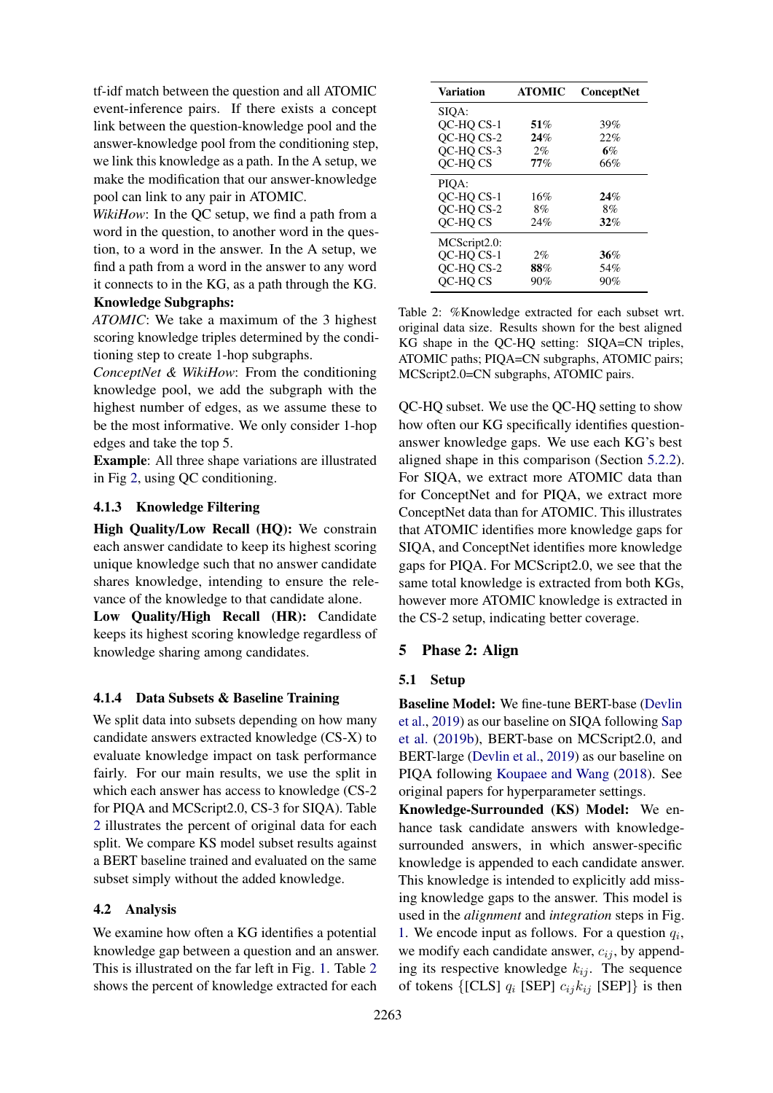tf-idf match between the question and all ATOMIC event-inference pairs. If there exists a concept link between the question-knowledge pool and the answer-knowledge pool from the conditioning step, we link this knowledge as a path. In the A setup, we make the modification that our answer-knowledge pool can link to any pair in ATOMIC.

*WikiHow*: In the QC setup, we find a path from a word in the question, to another word in the question, to a word in the answer. In the A setup, we find a path from a word in the answer to any word it connects to in the KG, as a path through the KG.

# Knowledge Subgraphs:

*ATOMIC*: We take a maximum of the 3 highest scoring knowledge triples determined by the conditioning step to create 1-hop subgraphs.

*ConceptNet & WikiHow*: From the conditioning knowledge pool, we add the subgraph with the highest number of edges, as we assume these to be the most informative. We only consider 1-hop edges and take the top 5.

Example: All three shape variations are illustrated in Fig [2,](#page-3-0) using QC conditioning.

## 4.1.3 Knowledge Filtering

High Quality/Low Recall (HQ): We constrain each answer candidate to keep its highest scoring unique knowledge such that no answer candidate shares knowledge, intending to ensure the relevance of the knowledge to that candidate alone.

Low Quality/High Recall (HR): Candidate keeps its highest scoring knowledge regardless of knowledge sharing among candidates.

#### 4.1.4 Data Subsets & Baseline Training

We split data into subsets depending on how many candidate answers extracted knowledge (CS-X) to evaluate knowledge impact on task performance fairly. For our main results, we use the split in which each answer has access to knowledge (CS-2 for PIQA and MCScript2.0, CS-3 for SIQA). Table [2](#page-4-0) illustrates the percent of original data for each split. We compare KS model subset results against a BERT baseline trained and evaluated on the same subset simply without the added knowledge.

## 4.2 Analysis

We examine how often a KG identifies a potential knowledge gap between a question and an answer. This is illustrated on the far left in Fig. [1.](#page-1-0) Table [2](#page-4-0) shows the percent of knowledge extracted for each

<span id="page-4-0"></span>

| Variation    | <b>ATOMIC</b> | <b>ConceptNet</b> |
|--------------|---------------|-------------------|
| SIOA:        |               |                   |
| OC-HO CS-1   | 51%           | 39%               |
| OC-HO CS-2   | 24%           | 22%               |
| OC-HO CS-3   | $2\%$         | 6%                |
| OC-HO CS     | $77\%$        | 66%               |
| PIOA:        |               |                   |
| OC-HO CS-1   | 16%           | 24%               |
| OC-HO CS-2   | 8%            | 8%                |
| OC-HOCS      | 24%           | 32%               |
| MCScript2.0: |               |                   |
| OC-HO CS-1   | 2%            | 36%               |
| OC-HO CS-2   | 88%           | 54%               |
| OC-HO CS     | 90%           | 90%               |

Table 2: %Knowledge extracted for each subset wrt. original data size. Results shown for the best aligned KG shape in the QC-HQ setting: SIQA=CN triples, ATOMIC paths; PIQA=CN subgraphs, ATOMIC pairs; MCScript2.0=CN subgraphs, ATOMIC pairs.

QC-HQ subset. We use the QC-HQ setting to show how often our KG specifically identifies questionanswer knowledge gaps. We use each KG's best aligned shape in this comparison (Section [5.2.2\)](#page-5-0). For SIQA, we extract more ATOMIC data than for ConceptNet and for PIQA, we extract more ConceptNet data than for ATOMIC. This illustrates that ATOMIC identifies more knowledge gaps for SIQA, and ConceptNet identifies more knowledge gaps for PIQA. For MCScript2.0, we see that the same total knowledge is extracted from both KGs, however more ATOMIC knowledge is extracted in the CS-2 setup, indicating better coverage.

#### 5 Phase 2: Align

## 5.1 Setup

Baseline Model: We fine-tune BERT-base [\(Devlin](#page-9-5) [et al.,](#page-9-5) [2019\)](#page-9-5) as our baseline on SIQA following [Sap](#page-10-0) [et al.](#page-10-0) [\(2019b\)](#page-10-0), BERT-base on MCScript2.0, and BERT-large [\(Devlin et al.,](#page-9-5) [2019\)](#page-9-5) as our baseline on PIQA following [Koupaee and Wang](#page-9-2) [\(2018\)](#page-9-2). See original papers for hyperparameter settings.

Knowledge-Surrounded (KS) Model: We enhance task candidate answers with knowledgesurrounded answers, in which answer-specific knowledge is appended to each candidate answer. This knowledge is intended to explicitly add missing knowledge gaps to the answer. This model is used in the *alignment* and *integration* steps in Fig. [1.](#page-1-0) We encode input as follows. For a question  $q_i$ , we modify each candidate answer,  $c_{ij}$ , by appending its respective knowledge  $k_{ij}$ . The sequence of tokens  $\{[CLS] q_i [SEP] c_{ij} k_{ij} [SEP] \}$  is then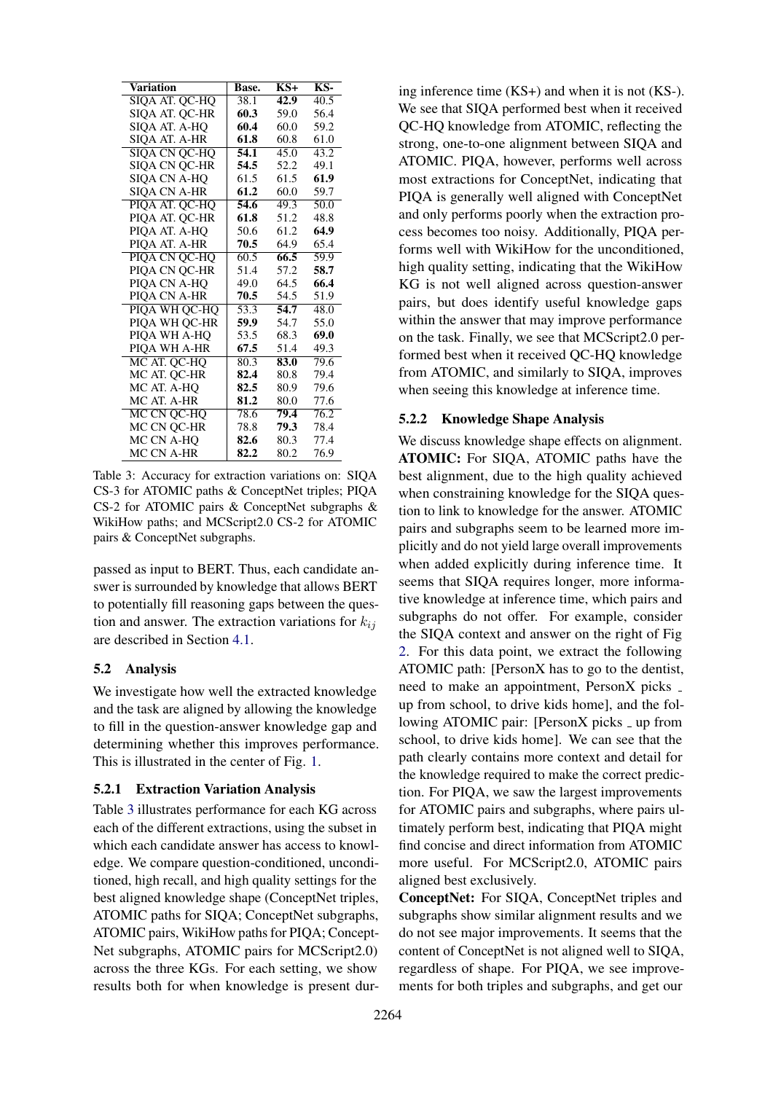<span id="page-5-1"></span>

| Variation            | Base.             | $KS+$ | KS-  |
|----------------------|-------------------|-------|------|
| SIQA AT. QC-HQ       | 38.1              | 42.9  | 40.5 |
| SIQA AT. QC-HR       | 60.3              | 59.0  | 56.4 |
| SIQA AT. A-HQ        | 60.4              | 60.0  | 59.2 |
| SIOA AT. A-HR        | 61.8              | 60.8  | 61.0 |
| <b>SIOA CN OC-HO</b> | 54.1              | 45.0  | 43.2 |
| <b>SIOA CN OC-HR</b> | 54.5              | 52.2  | 49.1 |
| SIQA CN A-HQ         | 61.5              | 61.5  | 61.9 |
| <b>SIOA CN A-HR</b>  | 61.2              | 60.0  | 59.7 |
| PIOA AT. OC-HO       | 54.6              | 49.3  | 50.0 |
| PIQA AT. QC-HR       | 61.8              | 51.2  | 48.8 |
| PIQA AT. A-HQ        | 50.6              | 61.2  | 64.9 |
| PIQA AT. A-HR        | 70.5              | 64.9  | 65.4 |
| PIOA CN OC-HO        | 60.5              | 66.5  | 59.9 |
| PIOA CN OC-HR        | 51.4              | 57.2  | 58.7 |
| PIQA CN A-HQ         | 49.0              | 64.5  | 66.4 |
| <b>PIOA CN A-HR</b>  | 70.5              | 54.5  | 51.9 |
| PIQA WH QC-HQ        | $\overline{53.3}$ | 54.7  | 48.0 |
| PIQA WH QC-HR        | 59.9              | 54.7  | 55.0 |
| PIOA WH A-HO         | 53.5              | 68.3  | 69.0 |
| PIOA WH A-HR         | 67.5              | 51.4  | 49.3 |
| MC AT. OC-HO         | 80.3              | 83.0  | 79.6 |
| MC AT. QC-HR         | 82.4              | 80.8  | 79.4 |
| MC AT. A-HQ          | 82.5              | 80.9  | 79.6 |
| MC AT. A-HR          | 81.2              | 80.0  | 77.6 |
| MC CN QC-HQ          | 78.6              | 79.4  | 76.2 |
| MC CN QC-HR          | 78.8              | 79.3  | 78.4 |
| MC CN A-HO           | 82.6              | 80.3  | 77.4 |
| <b>MC CN A-HR</b>    | 82.2              | 80.2  | 76.9 |

Table 3: Accuracy for extraction variations on: SIQA CS-3 for ATOMIC paths & ConceptNet triples; PIQA CS-2 for ATOMIC pairs & ConceptNet subgraphs & WikiHow paths; and MCScript2.0 CS-2 for ATOMIC pairs & ConceptNet subgraphs.

passed as input to BERT. Thus, each candidate answer is surrounded by knowledge that allows BERT to potentially fill reasoning gaps between the question and answer. The extraction variations for  $k_{ij}$ are described in Section [4.1.](#page-3-2)

### 5.2 Analysis

We investigate how well the extracted knowledge and the task are aligned by allowing the knowledge to fill in the question-answer knowledge gap and determining whether this improves performance. This is illustrated in the center of Fig. [1.](#page-1-0)

#### 5.2.1 Extraction Variation Analysis

Table [3](#page-5-1) illustrates performance for each KG across each of the different extractions, using the subset in which each candidate answer has access to knowledge. We compare question-conditioned, unconditioned, high recall, and high quality settings for the best aligned knowledge shape (ConceptNet triples, ATOMIC paths for SIQA; ConceptNet subgraphs, ATOMIC pairs, WikiHow paths for PIQA; Concept-Net subgraphs, ATOMIC pairs for MCScript2.0) across the three KGs. For each setting, we show results both for when knowledge is present dur-

ing inference time (KS+) and when it is not (KS-). We see that SIQA performed best when it received QC-HQ knowledge from ATOMIC, reflecting the strong, one-to-one alignment between SIQA and ATOMIC. PIQA, however, performs well across most extractions for ConceptNet, indicating that PIQA is generally well aligned with ConceptNet and only performs poorly when the extraction process becomes too noisy. Additionally, PIQA performs well with WikiHow for the unconditioned, high quality setting, indicating that the WikiHow KG is not well aligned across question-answer pairs, but does identify useful knowledge gaps within the answer that may improve performance on the task. Finally, we see that MCScript2.0 performed best when it received QC-HQ knowledge from ATOMIC, and similarly to SIQA, improves when seeing this knowledge at inference time.

#### <span id="page-5-0"></span>5.2.2 Knowledge Shape Analysis

We discuss knowledge shape effects on alignment. ATOMIC: For SIQA, ATOMIC paths have the best alignment, due to the high quality achieved when constraining knowledge for the SIQA question to link to knowledge for the answer. ATOMIC pairs and subgraphs seem to be learned more implicitly and do not yield large overall improvements when added explicitly during inference time. It seems that SIQA requires longer, more informative knowledge at inference time, which pairs and subgraphs do not offer. For example, consider the SIQA context and answer on the right of Fig [2.](#page-3-0) For this data point, we extract the following ATOMIC path: [PersonX has to go to the dentist, need to make an appointment, PersonX picks up from school, to drive kids home], and the following ATOMIC pair: [PersonX picks \_ up from school, to drive kids home]. We can see that the path clearly contains more context and detail for the knowledge required to make the correct prediction. For PIQA, we saw the largest improvements for ATOMIC pairs and subgraphs, where pairs ultimately perform best, indicating that PIQA might find concise and direct information from ATOMIC more useful. For MCScript2.0, ATOMIC pairs aligned best exclusively.

ConceptNet: For SIQA, ConceptNet triples and subgraphs show similar alignment results and we do not see major improvements. It seems that the content of ConceptNet is not aligned well to SIQA, regardless of shape. For PIQA, we see improvements for both triples and subgraphs, and get our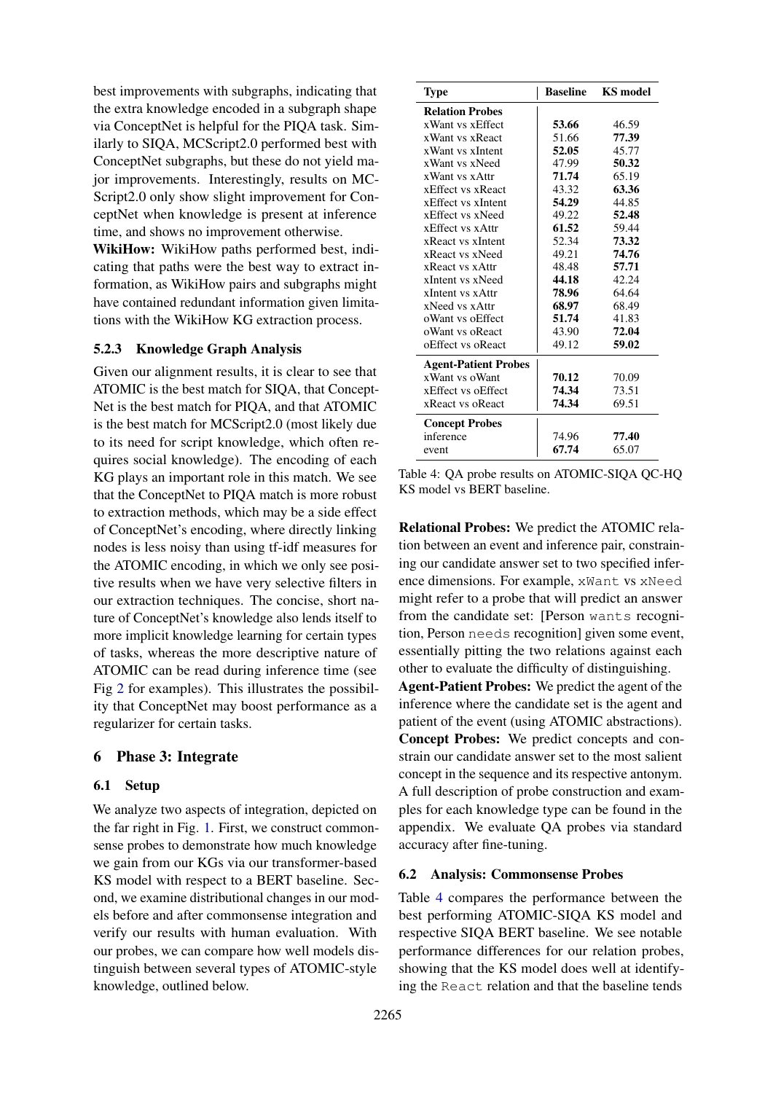best improvements with subgraphs, indicating that the extra knowledge encoded in a subgraph shape via ConceptNet is helpful for the PIQA task. Similarly to SIQA, MCScript2.0 performed best with ConceptNet subgraphs, but these do not yield major improvements. Interestingly, results on MC-Script2.0 only show slight improvement for ConceptNet when knowledge is present at inference time, and shows no improvement otherwise.

WikiHow: WikiHow paths performed best, indicating that paths were the best way to extract information, as WikiHow pairs and subgraphs might have contained redundant information given limitations with the WikiHow KG extraction process.

### 5.2.3 Knowledge Graph Analysis

Given our alignment results, it is clear to see that ATOMIC is the best match for SIQA, that Concept-Net is the best match for PIQA, and that ATOMIC is the best match for MCScript2.0 (most likely due to its need for script knowledge, which often requires social knowledge). The encoding of each KG plays an important role in this match. We see that the ConceptNet to PIQA match is more robust to extraction methods, which may be a side effect of ConceptNet's encoding, where directly linking nodes is less noisy than using tf-idf measures for the ATOMIC encoding, in which we only see positive results when we have very selective filters in our extraction techniques. The concise, short nature of ConceptNet's knowledge also lends itself to more implicit knowledge learning for certain types of tasks, whereas the more descriptive nature of ATOMIC can be read during inference time (see Fig [2](#page-3-0) for examples). This illustrates the possibility that ConceptNet may boost performance as a regularizer for certain tasks.

#### 6 Phase 3: Integrate

#### 6.1 Setup

We analyze two aspects of integration, depicted on the far right in Fig. [1.](#page-1-0) First, we construct commonsense probes to demonstrate how much knowledge we gain from our KGs via our transformer-based KS model with respect to a BERT baseline. Second, we examine distributional changes in our models before and after commonsense integration and verify our results with human evaluation. With our probes, we can compare how well models distinguish between several types of ATOMIC-style knowledge, outlined below.

<span id="page-6-0"></span>

| Type                        | <b>Baseline</b> | <b>KS</b> model |
|-----------------------------|-----------------|-----------------|
| <b>Relation Probes</b>      |                 |                 |
| xWant vs xEffect            | 53.66           | 46.59           |
| xWant vs xReact             | 51.66           | 77.39           |
| xWant vs xIntent            | 52.05           | 45.77           |
| xWant vs xNeed              | 47.99           | 50.32           |
| xWant vs xAttr              | 71.74           | 65.19           |
| xEffect vs xReact           | 43.32           | 63.36           |
| xEffect vs xIntent          | 54.29           | 44.85           |
| xEffect vs xNeed            | 49.22           | 52.48           |
| xEffect vs xAttr            | 61.52           | 59.44           |
| xReact vs xIntent           | 52.34           | 73.32           |
| xReact vs xNeed             | 49.21           | 74.76           |
| xReact vs xAttr             | 48.48           | 57.71           |
| xIntent vs xNeed            | 44.18           | 42.24           |
| xIntent vs xAttr            | 78.96           | 64.64           |
| xNeed vs xAttr              | 68.97           | 68.49           |
| oWant vs oEffect            | 51.74           | 41.83           |
| oWant vs oReact             | 43.90           | 72.04           |
| oEffect vs oReact           | 49.12           | 59.02           |
| <b>Agent-Patient Probes</b> |                 |                 |
| xWant ys oWant              | 70.12           | 70.09           |
| xEffect vs oEffect          | 74.34           | 73.51           |
| xReact vs oReact            | 74.34           | 69.51           |
| <b>Concept Probes</b>       |                 |                 |
| inference                   | 74.96           | 77.40           |
| event                       | 67.74           | 65.07           |

Table 4: QA probe results on ATOMIC-SIQA QC-HQ KS model vs BERT baseline.

Relational Probes: We predict the ATOMIC relation between an event and inference pair, constraining our candidate answer set to two specified inference dimensions. For example, xWant vs xNeed might refer to a probe that will predict an answer from the candidate set: [Person wants recognition, Person needs recognition] given some event, essentially pitting the two relations against each other to evaluate the difficulty of distinguishing. Agent-Patient Probes: We predict the agent of the

inference where the candidate set is the agent and patient of the event (using ATOMIC abstractions). Concept Probes: We predict concepts and constrain our candidate answer set to the most salient concept in the sequence and its respective antonym. A full description of probe construction and examples for each knowledge type can be found in the appendix. We evaluate QA probes via standard accuracy after fine-tuning.

#### 6.2 Analysis: Commonsense Probes

Table [4](#page-6-0) compares the performance between the best performing ATOMIC-SIQA KS model and respective SIQA BERT baseline. We see notable performance differences for our relation probes, showing that the KS model does well at identifying the React relation and that the baseline tends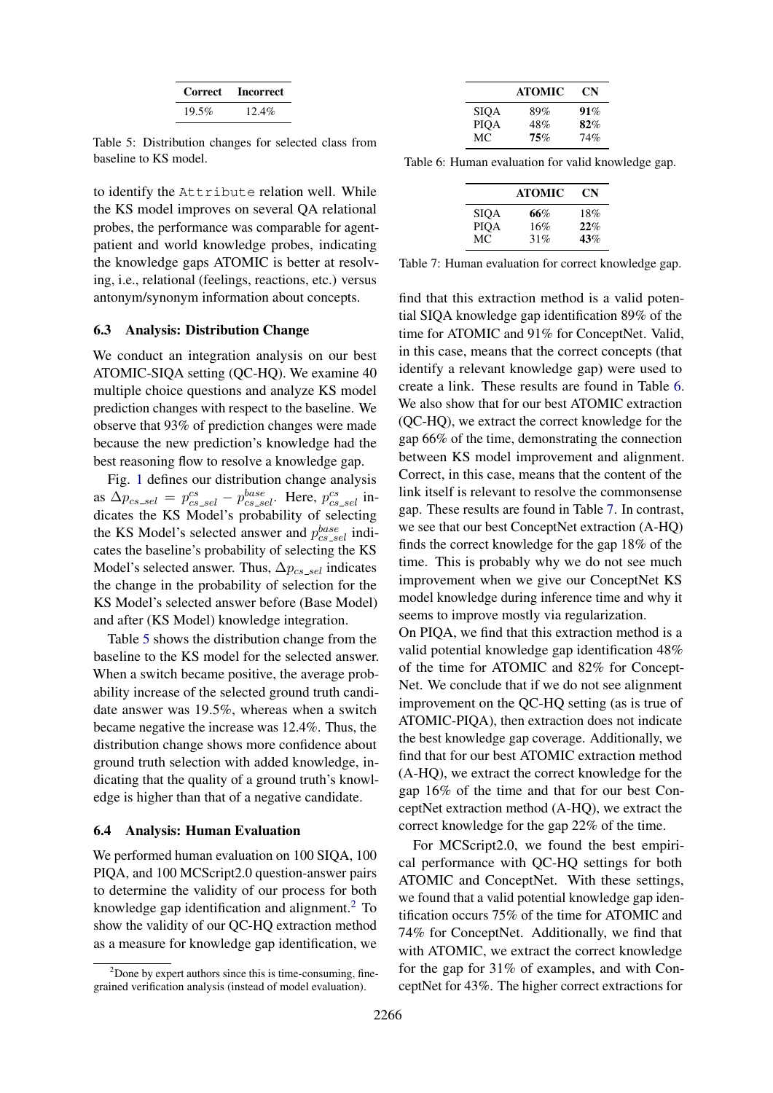| Correct | <b>Incorrect</b> |  |  |
|---------|------------------|--|--|
| 19.5%   | $12.4\%$         |  |  |

<span id="page-7-0"></span>Table 5: Distribution changes for selected class from baseline to KS model.

to identify the Attribute relation well. While the KS model improves on several QA relational probes, the performance was comparable for agentpatient and world knowledge probes, indicating the knowledge gaps ATOMIC is better at resolving, i.e., relational (feelings, reactions, etc.) versus antonym/synonym information about concepts.

#### 6.3 Analysis: Distribution Change

We conduct an integration analysis on our best ATOMIC-SIQA setting (QC-HQ). We examine 40 multiple choice questions and analyze KS model prediction changes with respect to the baseline. We observe that 93% of prediction changes were made because the new prediction's knowledge had the best reasoning flow to resolve a knowledge gap.

Fig. [1](#page-1-0) defines our distribution change analysis as  $\Delta p_{cs\_sel} = p_{cs\_sel}^{cs} - p_{cs\_sel}^{base}$ . Here,  $p_{cs\_sel}^{cs}$  indicates the KS Model's probability of selecting the KS Model's selected answer and  $p_{cs\_sel}^{base}$  indicates the baseline's probability of selecting the KS Model's selected answer. Thus,  $\Delta p_{cs\_sel}$  indicates the change in the probability of selection for the KS Model's selected answer before (Base Model) and after (KS Model) knowledge integration.

Table [5](#page-7-0) shows the distribution change from the baseline to the KS model for the selected answer. When a switch became positive, the average probability increase of the selected ground truth candidate answer was 19.5%, whereas when a switch became negative the increase was 12.4%. Thus, the distribution change shows more confidence about ground truth selection with added knowledge, indicating that the quality of a ground truth's knowledge is higher than that of a negative candidate.

#### 6.4 Analysis: Human Evaluation

We performed human evaluation on 100 SIQA, 100 PIQA, and 100 MCScript2.0 question-answer pairs to determine the validity of our process for both knowledge gap identification and alignment.<sup>[2](#page-7-1)</sup> To show the validity of our QC-HQ extraction method as a measure for knowledge gap identification, we

<span id="page-7-2"></span>

|      | <b>ATOMIC</b> | CN  |
|------|---------------|-----|
| SIOA | 89%           | 91% |
| PIOA | 48%           | 82% |
| MC.  | 75%           | 74% |

<span id="page-7-3"></span>Table 6: Human evaluation for valid knowledge gap.

|             | <b>ATOMIC</b> | CN  |
|-------------|---------------|-----|
| SIOA        | 66%           | 18% |
| <b>PIOA</b> | 16%           | 22% |
| MC.         | 31%           | 43% |

Table 7: Human evaluation for correct knowledge gap.

find that this extraction method is a valid potential SIQA knowledge gap identification 89% of the time for ATOMIC and 91% for ConceptNet. Valid, in this case, means that the correct concepts (that identify a relevant knowledge gap) were used to create a link. These results are found in Table [6.](#page-7-2) We also show that for our best ATOMIC extraction (QC-HQ), we extract the correct knowledge for the gap 66% of the time, demonstrating the connection between KS model improvement and alignment. Correct, in this case, means that the content of the link itself is relevant to resolve the commonsense gap. These results are found in Table [7.](#page-7-3) In contrast, we see that our best ConceptNet extraction (A-HQ) finds the correct knowledge for the gap 18% of the time. This is probably why we do not see much improvement when we give our ConceptNet KS model knowledge during inference time and why it seems to improve mostly via regularization.

On PIQA, we find that this extraction method is a valid potential knowledge gap identification 48% of the time for ATOMIC and 82% for Concept-Net. We conclude that if we do not see alignment improvement on the QC-HQ setting (as is true of ATOMIC-PIQA), then extraction does not indicate the best knowledge gap coverage. Additionally, we find that for our best ATOMIC extraction method (A-HQ), we extract the correct knowledge for the gap 16% of the time and that for our best ConceptNet extraction method (A-HQ), we extract the correct knowledge for the gap 22% of the time.

For MCScript2.0, we found the best empirical performance with QC-HQ settings for both ATOMIC and ConceptNet. With these settings, we found that a valid potential knowledge gap identification occurs 75% of the time for ATOMIC and 74% for ConceptNet. Additionally, we find that with ATOMIC, we extract the correct knowledge for the gap for 31% of examples, and with ConceptNet for 43%. The higher correct extractions for

<span id="page-7-1"></span> $2^2$ Done by expert authors since this is time-consuming, finegrained verification analysis (instead of model evaluation).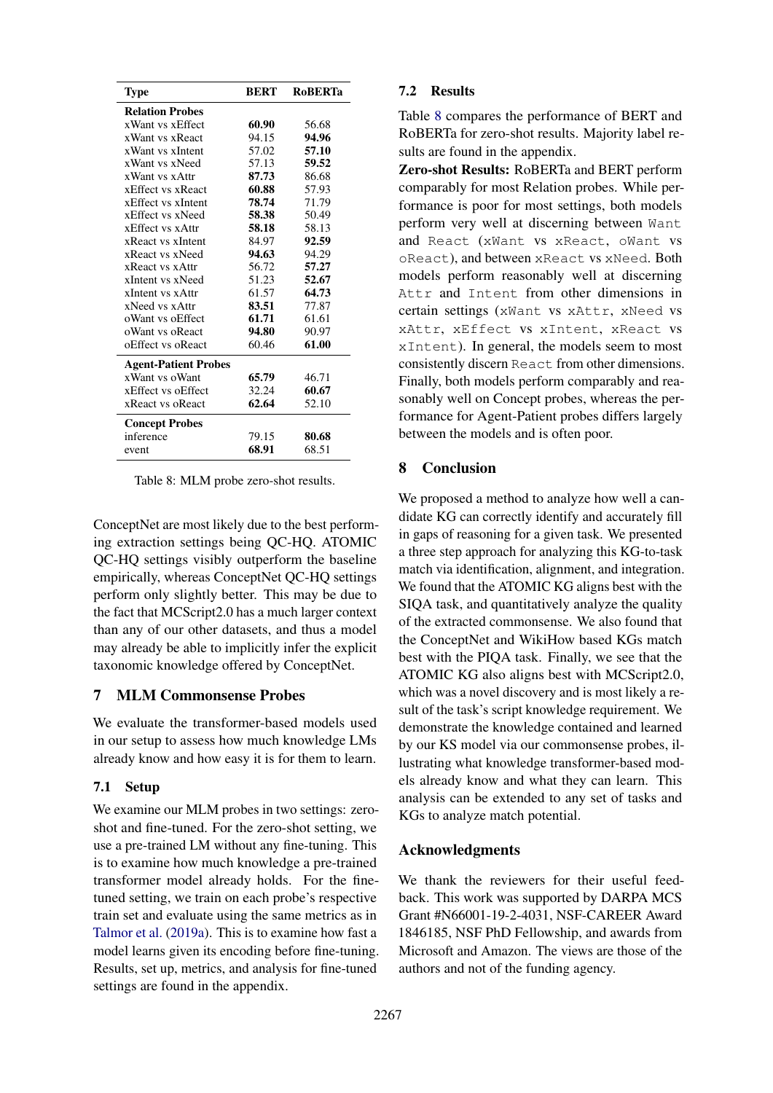<span id="page-8-0"></span>

| Type                        | <b>BERT</b> | <b>RoBERTa</b> |
|-----------------------------|-------------|----------------|
| <b>Relation Probes</b>      |             |                |
| xWant vs xEffect            | 60.90       | 56.68          |
| xWant vs xReact             | 94.15       | 94.96          |
| xWant vs xIntent            | 57.02       | 57.10          |
| xWant vs xNeed              | 57.13       | 59.52          |
| xWant vs xAttr              | 87.73       | 86.68          |
| xEffect vs xReact           | 60.88       | 57.93          |
| xEffect vs xIntent          | 78.74       | 71.79          |
| xEffect vs xNeed            | 58.38       | 50.49          |
| xEffect vs xAttr            | 58.18       | 58.13          |
| xReact vs xIntent           | 84.97       | 92.59          |
| xReact vs xNeed             | 94.63       | 94.29          |
| xReact vs xAttr             | 56.72       | 57.27          |
| xIntent vs xNeed            | 51.23       | 52.67          |
| xIntent vs xAttr            | 61.57       | 64.73          |
| xNeed vs xAttr              | 83.51       | 77.87          |
| oWant vs oEffect            | 61.71       | 61.61          |
| oWant vs oReact             | 94.80       | 90.97          |
| oEffect vs oReact           | 60.46       | 61.00          |
| <b>Agent-Patient Probes</b> |             |                |
| xWant vs oWant              | 65.79       | 46.71          |
| xEffect vs oEffect          | 32.24       | 60.67          |
| xReact vs oReact            | 62.64       | 52.10          |
| <b>Concept Probes</b>       |             |                |
| inference                   | 79.15       | 80.68          |
| event                       | 68.91       | 68.51          |

Table 8: MLM probe zero-shot results.

ConceptNet are most likely due to the best performing extraction settings being QC-HQ. ATOMIC QC-HQ settings visibly outperform the baseline empirically, whereas ConceptNet QC-HQ settings perform only slightly better. This may be due to the fact that MCScript2.0 has a much larger context than any of our other datasets, and thus a model may already be able to implicitly infer the explicit taxonomic knowledge offered by ConceptNet.

#### 7 MLM Commonsense Probes

We evaluate the transformer-based models used in our setup to assess how much knowledge LMs already know and how easy it is for them to learn.

## 7.1 Setup

We examine our MLM probes in two settings: zeroshot and fine-tuned. For the zero-shot setting, we use a pre-trained LM without any fine-tuning. This is to examine how much knowledge a pre-trained transformer model already holds. For the finetuned setting, we train on each probe's respective train set and evaluate using the same metrics as in [Talmor et al.](#page-10-10) [\(2019a\)](#page-10-10). This is to examine how fast a model learns given its encoding before fine-tuning. Results, set up, metrics, and analysis for fine-tuned settings are found in the appendix.

## 7.2 Results

Table [8](#page-8-0) compares the performance of BERT and RoBERTa for zero-shot results. Majority label results are found in the appendix.

Zero-shot Results: RoBERTa and BERT perform comparably for most Relation probes. While performance is poor for most settings, both models perform very well at discerning between Want and React (xWant vs xReact, oWant vs oReact), and between xReact vs xNeed. Both models perform reasonably well at discerning Attr and Intent from other dimensions in certain settings (xWant vs xAttr, xNeed vs xAttr, xEffect vs xIntent, xReact vs xIntent). In general, the models seem to most consistently discern React from other dimensions. Finally, both models perform comparably and reasonably well on Concept probes, whereas the performance for Agent-Patient probes differs largely between the models and is often poor.

## 8 Conclusion

We proposed a method to analyze how well a candidate KG can correctly identify and accurately fill in gaps of reasoning for a given task. We presented a three step approach for analyzing this KG-to-task match via identification, alignment, and integration. We found that the ATOMIC KG aligns best with the SIQA task, and quantitatively analyze the quality of the extracted commonsense. We also found that the ConceptNet and WikiHow based KGs match best with the PIQA task. Finally, we see that the ATOMIC KG also aligns best with MCScript2.0, which was a novel discovery and is most likely a result of the task's script knowledge requirement. We demonstrate the knowledge contained and learned by our KS model via our commonsense probes, illustrating what knowledge transformer-based models already know and what they can learn. This analysis can be extended to any set of tasks and KGs to analyze match potential.

## Acknowledgments

We thank the reviewers for their useful feedback. This work was supported by DARPA MCS Grant #N66001-19-2-4031, NSF-CAREER Award 1846185, NSF PhD Fellowship, and awards from Microsoft and Amazon. The views are those of the authors and not of the funding agency.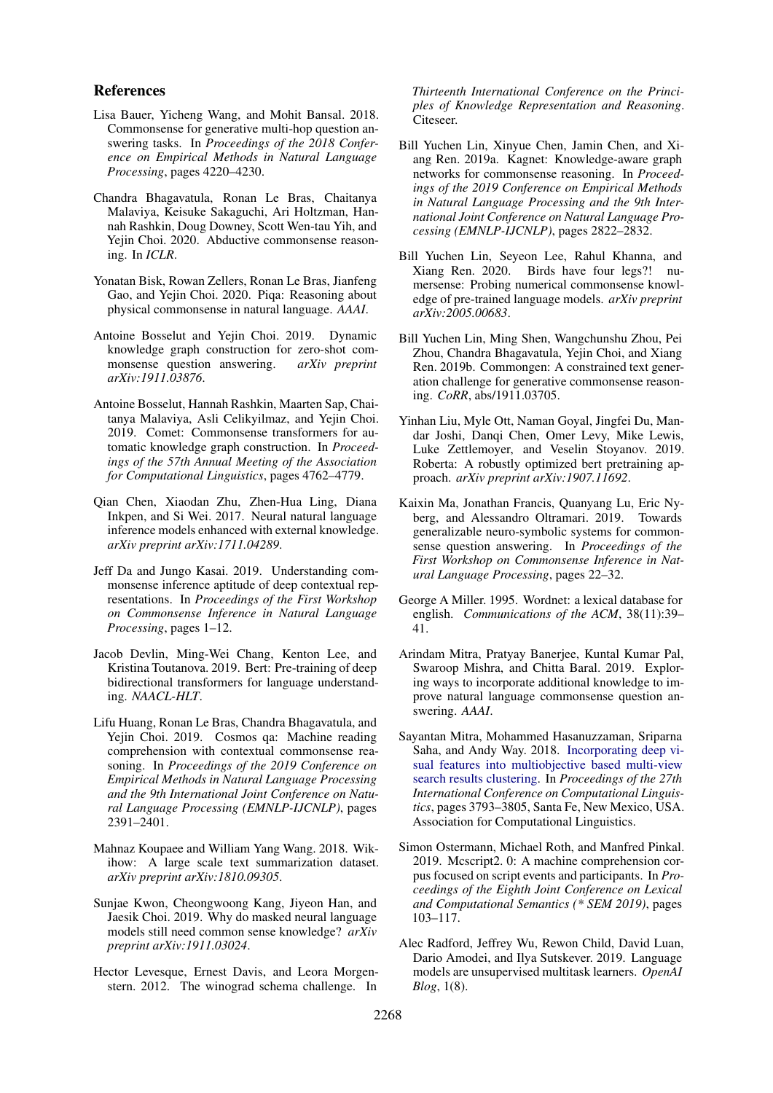#### References

- <span id="page-9-17"></span>Lisa Bauer, Yicheng Wang, and Mohit Bansal. 2018. Commonsense for generative multi-hop question answering tasks. In *Proceedings of the 2018 Conference on Empirical Methods in Natural Language Processing*, pages 4220–4230.
- <span id="page-9-4"></span>Chandra Bhagavatula, Ronan Le Bras, Chaitanya Malaviya, Keisuke Sakaguchi, Ari Holtzman, Hannah Rashkin, Doug Downey, Scott Wen-tau Yih, and Yejin Choi. 2020. Abductive commonsense reasoning. In *ICLR*.
- <span id="page-9-0"></span>Yonatan Bisk, Rowan Zellers, Ronan Le Bras, Jianfeng Gao, and Yejin Choi. 2020. Piga: Reasoning about physical commonsense in natural language. *AAAI*.
- <span id="page-9-14"></span>Antoine Bosselut and Yejin Choi. 2019. Dynamic knowledge graph construction for zero-shot com-<br>monsense question answering.  $arXiv$  preprint monsense question answering. *arXiv:1911.03876*.
- <span id="page-9-10"></span>Antoine Bosselut, Hannah Rashkin, Maarten Sap, Chaitanya Malaviya, Asli Celikyilmaz, and Yejin Choi. 2019. Comet: Commonsense transformers for automatic knowledge graph construction. In *Proceedings of the 57th Annual Meeting of the Association for Computational Linguistics*, pages 4762–4779.
- <span id="page-9-15"></span>Qian Chen, Xiaodan Zhu, Zhen-Hua Ling, Diana Inkpen, and Si Wei. 2017. Neural natural language inference models enhanced with external knowledge. *arXiv preprint arXiv:1711.04289*.
- <span id="page-9-21"></span>Jeff Da and Jungo Kasai. 2019. Understanding commonsense inference aptitude of deep contextual representations. In *Proceedings of the First Workshop on Commonsense Inference in Natural Language Processing*, pages 1–12.
- <span id="page-9-5"></span>Jacob Devlin, Ming-Wei Chang, Kenton Lee, and Kristina Toutanova. 2019. Bert: Pre-training of deep bidirectional transformers for language understanding. *NAACL-HLT*.
- <span id="page-9-3"></span>Lifu Huang, Ronan Le Bras, Chandra Bhagavatula, and Yejin Choi. 2019. Cosmos qa: Machine reading comprehension with contextual commonsense reasoning. In *Proceedings of the 2019 Conference on Empirical Methods in Natural Language Processing and the 9th International Joint Conference on Natural Language Processing (EMNLP-IJCNLP)*, pages 2391–2401.
- <span id="page-9-2"></span>Mahnaz Koupaee and William Yang Wang. 2018. Wikihow: A large scale text summarization dataset. *arXiv preprint arXiv:1810.09305*.
- <span id="page-9-12"></span>Sunjae Kwon, Cheongwoong Kang, Jiyeon Han, and Jaesik Choi. 2019. Why do masked neural language models still need common sense knowledge? *arXiv preprint arXiv:1911.03024*.
- <span id="page-9-18"></span>Hector Levesque, Ernest Davis, and Leora Morgenstern. 2012. The winograd schema challenge. In

*Thirteenth International Conference on the Principles of Knowledge Representation and Reasoning*. Citeseer.

- <span id="page-9-9"></span>Bill Yuchen Lin, Xinyue Chen, Jamin Chen, and Xiang Ren. 2019a. Kagnet: Knowledge-aware graph networks for commonsense reasoning. In *Proceedings of the 2019 Conference on Empirical Methods in Natural Language Processing and the 9th International Joint Conference on Natural Language Processing (EMNLP-IJCNLP)*, pages 2822–2832.
- <span id="page-9-11"></span>Bill Yuchen Lin, Seyeon Lee, Rahul Khanna, and Xiang Ren. 2020. Birds have four legs?! numersense: Probing numerical commonsense knowledge of pre-trained language models. *arXiv preprint arXiv:2005.00683*.
- <span id="page-9-13"></span>Bill Yuchen Lin, Ming Shen, Wangchunshu Zhou, Pei Zhou, Chandra Bhagavatula, Yejin Choi, and Xiang Ren. 2019b. Commongen: A constrained text generation challenge for generative commonsense reasoning. *CoRR*, abs/1911.03705.
- <span id="page-9-7"></span>Yinhan Liu, Myle Ott, Naman Goyal, Jingfei Du, Mandar Joshi, Danqi Chen, Omer Levy, Mike Lewis, Luke Zettlemoyer, and Veselin Stoyanov. 2019. Roberta: A robustly optimized bert pretraining approach. *arXiv preprint arXiv:1907.11692*.
- <span id="page-9-19"></span>Kaixin Ma, Jonathan Francis, Quanyang Lu, Eric Nyberg, and Alessandro Oltramari. 2019. Towards generalizable neuro-symbolic systems for commonsense question answering. In *Proceedings of the First Workshop on Commonsense Inference in Natural Language Processing*, pages 22–32.
- <span id="page-9-20"></span>George A Miller. 1995. Wordnet: a lexical database for english. *Communications of the ACM*, 38(11):39– 41.
- <span id="page-9-8"></span>Arindam Mitra, Pratyay Banerjee, Kuntal Kumar Pal, Swaroop Mishra, and Chitta Baral. 2019. Exploring ways to incorporate additional knowledge to improve natural language commonsense question answering. *AAAI*.
- <span id="page-9-16"></span>Sayantan Mitra, Mohammed Hasanuzzaman, Sriparna Saha, and Andy Way. 2018. [Incorporating deep vi](https://www.aclweb.org/anthology/C18-1321)[sual features into multiobjective based multi-view](https://www.aclweb.org/anthology/C18-1321) [search results clustering.](https://www.aclweb.org/anthology/C18-1321) In *Proceedings of the 27th International Conference on Computational Linguistics*, pages 3793–3805, Santa Fe, New Mexico, USA. Association for Computational Linguistics.
- <span id="page-9-1"></span>Simon Ostermann, Michael Roth, and Manfred Pinkal. 2019. Mcscript2. 0: A machine comprehension corpus focused on script events and participants. In *Proceedings of the Eighth Joint Conference on Lexical and Computational Semantics (\* SEM 2019)*, pages 103–117.
- <span id="page-9-6"></span>Alec Radford, Jeffrey Wu, Rewon Child, David Luan, Dario Amodei, and Ilya Sutskever. 2019. Language models are unsupervised multitask learners. *OpenAI Blog*, 1(8).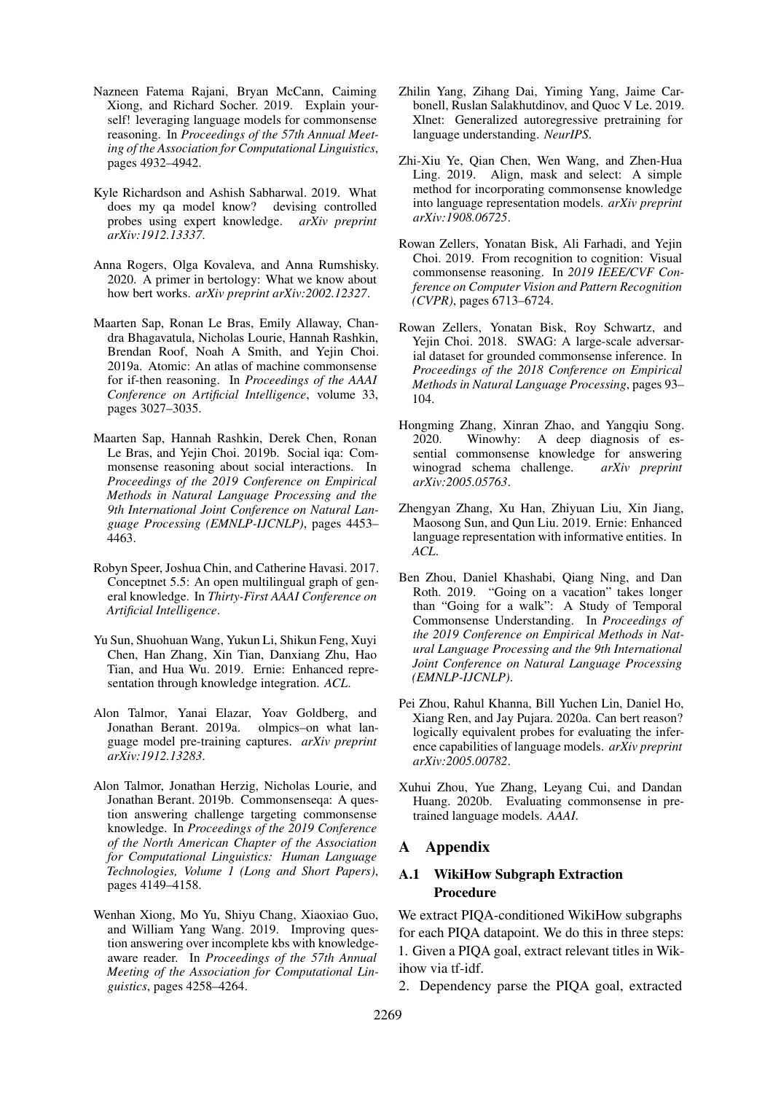- <span id="page-10-5"></span>Nazneen Fatema Rajani, Bryan McCann, Caiming Xiong, and Richard Socher. 2019. Explain yourself! leveraging language models for commonsense reasoning. In *Proceedings of the 57th Annual Meeting of the Association for Computational Linguistics*, pages 4932–4942.
- <span id="page-10-7"></span>Kyle Richardson and Ashish Sabharwal. 2019. What does my qa model know? devising controlled probes using expert knowledge. *arXiv preprint arXiv:1912.13337*.
- <span id="page-10-9"></span>Anna Rogers, Olga Kovaleva, and Anna Rumshisky. 2020. A primer in bertology: What we know about how bert works. *arXiv preprint arXiv:2002.12327*.
- <span id="page-10-1"></span>Maarten Sap, Ronan Le Bras, Emily Allaway, Chandra Bhagavatula, Nicholas Lourie, Hannah Rashkin, Brendan Roof, Noah A Smith, and Yejin Choi. 2019a. Atomic: An atlas of machine commonsense for if-then reasoning. In *Proceedings of the AAAI Conference on Artificial Intelligence*, volume 33, pages 3027–3035.
- <span id="page-10-0"></span>Maarten Sap, Hannah Rashkin, Derek Chen, Ronan Le Bras, and Yejin Choi. 2019b. Social iqa: Commonsense reasoning about social interactions. In *Proceedings of the 2019 Conference on Empirical Methods in Natural Language Processing and the 9th International Joint Conference on Natural Language Processing (EMNLP-IJCNLP)*, pages 4453– 4463.
- <span id="page-10-2"></span>Robyn Speer, Joshua Chin, and Catherine Havasi. 2017. Conceptnet 5.5: An open multilingual graph of general knowledge. In *Thirty-First AAAI Conference on Artificial Intelligence*.
- <span id="page-10-6"></span>Yu Sun, Shuohuan Wang, Yukun Li, Shikun Feng, Xuyi Chen, Han Zhang, Xin Tian, Danxiang Zhu, Hao Tian, and Hua Wu. 2019. Ernie: Enhanced representation through knowledge integration. *ACL*.
- <span id="page-10-10"></span>Alon Talmor, Yanai Elazar, Yoav Goldberg, and Jonathan Berant. 2019a. olmpics–on what language model pre-training captures. *arXiv preprint arXiv:1912.13283*.
- <span id="page-10-3"></span>Alon Talmor, Jonathan Herzig, Nicholas Lourie, and Jonathan Berant. 2019b. Commonsenseqa: A question answering challenge targeting commonsense knowledge. In *Proceedings of the 2019 Conference of the North American Chapter of the Association for Computational Linguistics: Human Language Technologies, Volume 1 (Long and Short Papers)*, pages 4149–4158.
- <span id="page-10-17"></span>Wenhan Xiong, Mo Yu, Shiyu Chang, Xiaoxiao Guo, and William Yang Wang. 2019. Improving question answering over incomplete kbs with knowledgeaware reader. In *Proceedings of the 57th Annual Meeting of the Association for Computational Linguistics*, pages 4258–4264.
- <span id="page-10-4"></span>Zhilin Yang, Zihang Dai, Yiming Yang, Jaime Carbonell, Ruslan Salakhutdinov, and Quoc V Le. 2019. Xlnet: Generalized autoregressive pretraining for language understanding. *NeurIPS*.
- <span id="page-10-15"></span>Zhi-Xiu Ye, Qian Chen, Wen Wang, and Zhen-Hua Ling. 2019. Align, mask and select: A simple method for incorporating commonsense knowledge into language representation models. *arXiv preprint arXiv:1908.06725*.
- <span id="page-10-14"></span>Rowan Zellers, Yonatan Bisk, Ali Farhadi, and Yejin Choi. 2019. From recognition to cognition: Visual commonsense reasoning. In *2019 IEEE/CVF Conference on Computer Vision and Pattern Recognition (CVPR)*, pages 6713–6724.
- <span id="page-10-12"></span>Rowan Zellers, Yonatan Bisk, Roy Schwartz, and Yejin Choi. 2018. SWAG: A large-scale adversarial dataset for grounded commonsense inference. In *Proceedings of the 2018 Conference on Empirical Methods in Natural Language Processing*, pages 93– 104.
- <span id="page-10-18"></span>Hongming Zhang, Xinran Zhao, and Yangqiu Song. 2020. Winowhy: A deep diagnosis of essential commonsense knowledge for answering winograd schema challenge. *arXiv preprint arXiv:2005.05763*.
- <span id="page-10-16"></span>Zhengyan Zhang, Xu Han, Zhiyuan Liu, Xin Jiang, Maosong Sun, and Qun Liu. 2019. Ernie: Enhanced language representation with informative entities. In *ACL*.
- <span id="page-10-13"></span>Ben Zhou, Daniel Khashabi, Qiang Ning, and Dan Roth. 2019. "Going on a vacation" takes longer than "Going for a walk": A Study of Temporal Commonsense Understanding. In *Proceedings of the 2019 Conference on Empirical Methods in Natural Language Processing and the 9th International Joint Conference on Natural Language Processing (EMNLP-IJCNLP)*.
- <span id="page-10-11"></span>Pei Zhou, Rahul Khanna, Bill Yuchen Lin, Daniel Ho, Xiang Ren, and Jay Pujara. 2020a. Can bert reason? logically equivalent probes for evaluating the inference capabilities of language models. *arXiv preprint arXiv:2005.00782*.
- <span id="page-10-8"></span>Xuhui Zhou, Yue Zhang, Leyang Cui, and Dandan Huang. 2020b. Evaluating commonsense in pretrained language models. *AAAI*.

## A Appendix

## A.1 WikiHow Subgraph Extraction Procedure

We extract PIQA-conditioned WikiHow subgraphs for each PIQA datapoint. We do this in three steps: 1. Given a PIQA goal, extract relevant titles in Wikihow via tf-idf.

2. Dependency parse the PIQA goal, extracted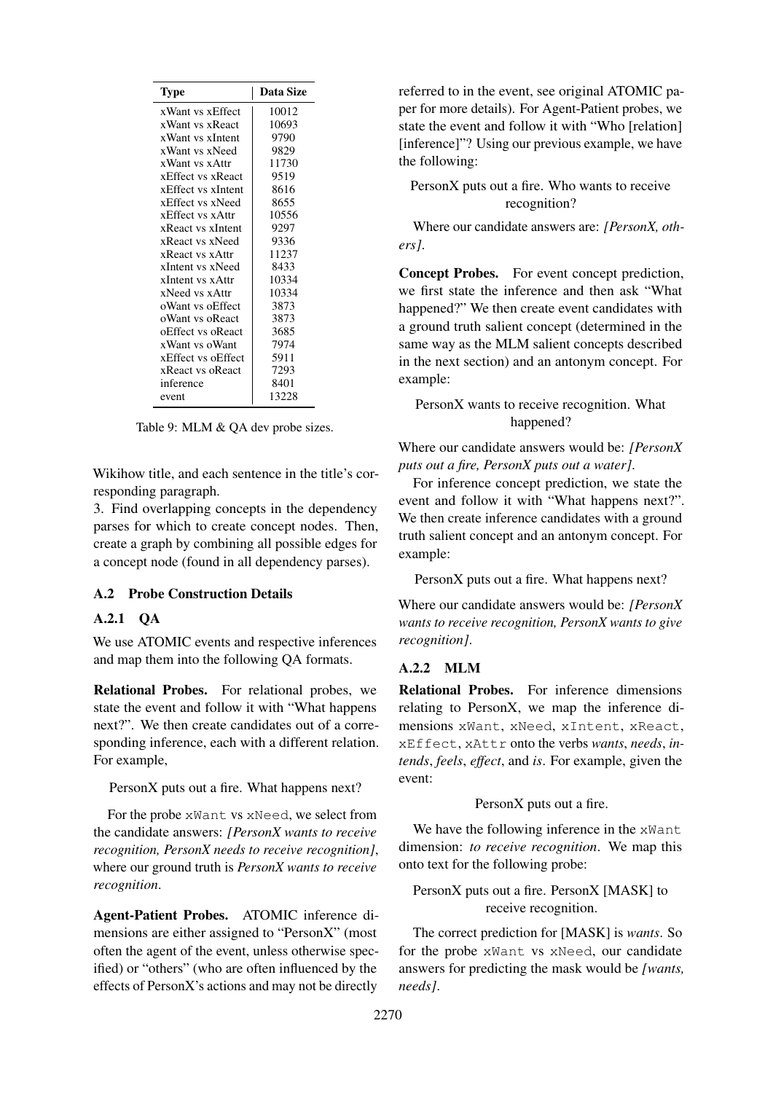<span id="page-11-0"></span>

| Type               | Data Size |
|--------------------|-----------|
| xWant vs xEffect   | 10012     |
| xWant vs xReact    | 10693     |
| xWant vs xIntent   | 9790      |
| xWant vs xNeed     | 9829      |
| xWant vs xAttr     | 11730     |
| xEffect vs xReact  | 9519      |
| xEffect vs xIntent | 8616      |
| xEffect vs xNeed   | 8655      |
| xEffect vs xAttr   | 10556     |
| xReact vs xIntent  | 9297      |
| xReact vs xNeed    | 9336      |
| xReact vs xAttr    | 11237     |
| xIntent vs xNeed   | 8433      |
| xIntent vs xAttr   | 10334     |
| xNeed vs xAttr     | 10334     |
| oWant vs oEffect   | 3873      |
| oWant vs oReact    | 3873      |
| oEffect vs oReact  | 3685      |
| xWant vs oWant     | 7974      |
| xEffect vs oEffect | 5911      |
| xReact vs oReact   | 7293      |
| inference          | 8401      |
| event              | 13228     |

Table 9: MLM & QA dev probe sizes.

Wikihow title, and each sentence in the title's corresponding paragraph.

3. Find overlapping concepts in the dependency parses for which to create concept nodes. Then, create a graph by combining all possible edges for a concept node (found in all dependency parses).

### A.2 Probe Construction Details

## A.2.1 QA

We use ATOMIC events and respective inferences and map them into the following QA formats.

Relational Probes. For relational probes, we state the event and follow it with "What happens next?". We then create candidates out of a corresponding inference, each with a different relation. For example,

PersonX puts out a fire. What happens next?

For the probe xWant vs xNeed, we select from the candidate answers: *[PersonX wants to receive recognition, PersonX needs to receive recognition]*, where our ground truth is *PersonX wants to receive recognition*.

Agent-Patient Probes. ATOMIC inference dimensions are either assigned to "PersonX" (most often the agent of the event, unless otherwise specified) or "others" (who are often influenced by the effects of PersonX's actions and may not be directly

referred to in the event, see original ATOMIC paper for more details). For Agent-Patient probes, we state the event and follow it with "Who [relation] [inference]"? Using our previous example, we have the following:

# PersonX puts out a fire. Who wants to receive recognition?

Where our candidate answers are: *[PersonX, others]*.

Concept Probes. For event concept prediction, we first state the inference and then ask "What happened?" We then create event candidates with a ground truth salient concept (determined in the same way as the MLM salient concepts described in the next section) and an antonym concept. For example:

### PersonX wants to receive recognition. What happened?

Where our candidate answers would be: *[PersonX puts out a fire, PersonX puts out a water]*.

For inference concept prediction, we state the event and follow it with "What happens next?". We then create inference candidates with a ground truth salient concept and an antonym concept. For example:

PersonX puts out a fire. What happens next?

Where our candidate answers would be: *[PersonX wants to receive recognition, PersonX wants to give recognition]*.

## A.2.2 MLM

Relational Probes. For inference dimensions relating to PersonX, we map the inference dimensions xWant, xNeed, xIntent, xReact, xEffect, xAttr onto the verbs *wants*, *needs*, *intends*, *feels*, *effect*, and *is*. For example, given the event:

#### PersonX puts out a fire.

We have the following inference in the xWant dimension: *to receive recognition*. We map this onto text for the following probe:

# PersonX puts out a fire. PersonX [MASK] to receive recognition.

The correct prediction for [MASK] is *wants*. So for the probe xWant vs xNeed, our candidate answers for predicting the mask would be *[wants, needs]*.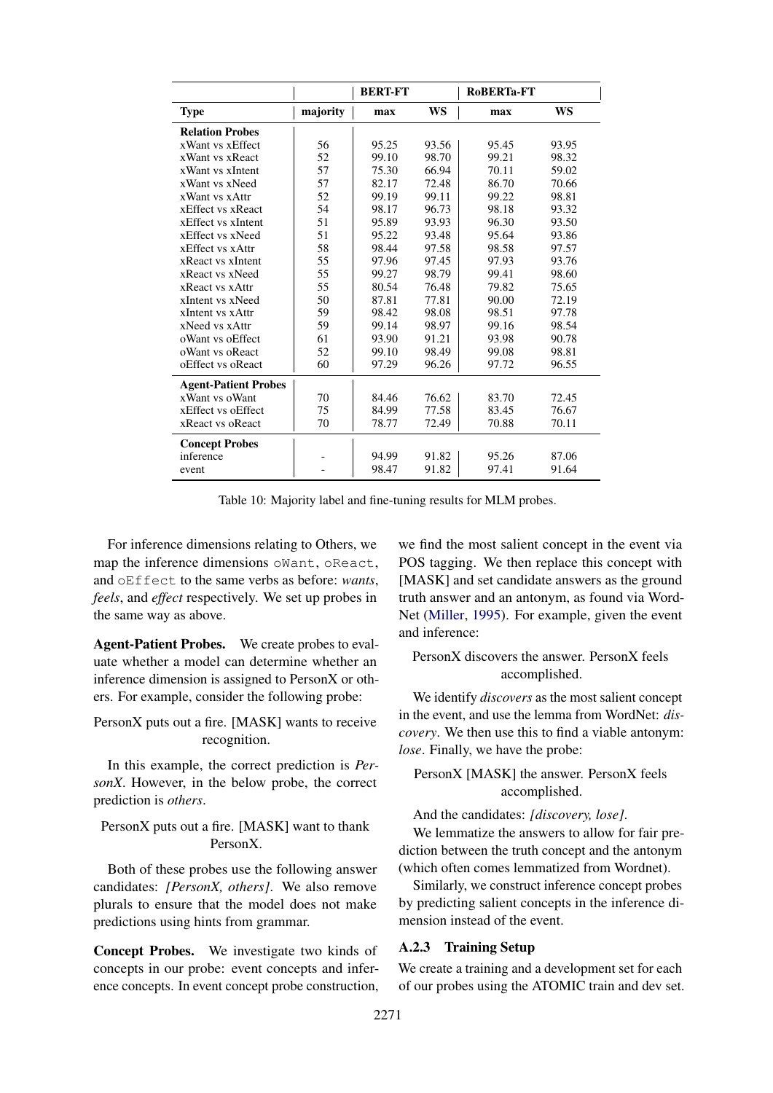<span id="page-12-0"></span>

|                             |          | <b>BERT-FT</b> |       | RoBERTa-FT |           |
|-----------------------------|----------|----------------|-------|------------|-----------|
| <b>Type</b>                 | majority | max            | WS    | max        | <b>WS</b> |
| <b>Relation Probes</b>      |          |                |       |            |           |
| xWant vs xEffect            | 56       | 95.25          | 93.56 | 95.45      | 93.95     |
| xWant vs xReact             | 52       | 99.10          | 98.70 | 99.21      | 98.32     |
| xWant vs xIntent            | 57       | 75.30          | 66.94 | 70.11      | 59.02     |
| xWant vs xNeed              | 57       | 82.17          | 72.48 | 86.70      | 70.66     |
| xWant vs xAttr              | 52       | 99.19          | 99.11 | 99.22      | 98.81     |
| xEffect vs xReact           | 54       | 98.17          | 96.73 | 98.18      | 93.32     |
| xEffect vs xIntent          | 51       | 95.89          | 93.93 | 96.30      | 93.50     |
| xEffect vs xNeed            | 51       | 95.22          | 93.48 | 95.64      | 93.86     |
| xEffect vs xAttr            | 58       | 98.44          | 97.58 | 98.58      | 97.57     |
| xReact vs xIntent           | 55       | 97.96          | 97.45 | 97.93      | 93.76     |
| xReact vs xNeed             | 55       | 99.27          | 98.79 | 99.41      | 98.60     |
| xReact vs xAttr             | 55       | 80.54          | 76.48 | 79.82      | 75.65     |
| xIntent vs xNeed            | 50       | 87.81          | 77.81 | 90.00      | 72.19     |
| xIntent vs xAttr            | 59       | 98.42          | 98.08 | 98.51      | 97.78     |
| xNeed vs xAttr              | 59       | 99.14          | 98.97 | 99.16      | 98.54     |
| oWant vs oEffect            | 61       | 93.90          | 91.21 | 93.98      | 90.78     |
| oWant vs oReact             | 52       | 99.10          | 98.49 | 99.08      | 98.81     |
| oEffect vs oReact           | 60       | 97.29          | 96.26 | 97.72      | 96.55     |
| <b>Agent-Patient Probes</b> |          |                |       |            |           |
| xWant vs oWant              | 70       | 84.46          | 76.62 | 83.70      | 72.45     |
| xEffect vs oEffect          | 75       | 84.99          | 77.58 | 83.45      | 76.67     |
| xReact vs oReact            | 70       | 78.77          | 72.49 | 70.88      | 70.11     |
| <b>Concept Probes</b>       |          |                |       |            |           |
| inference                   |          | 94.99          | 91.82 | 95.26      | 87.06     |
| event                       |          | 98.47          | 91.82 | 97.41      | 91.64     |

Table 10: Majority label and fine-tuning results for MLM probes.

For inference dimensions relating to Others, we map the inference dimensions oWant, oReact, and oEffect to the same verbs as before: *wants*, *feels*, and *effect* respectively. We set up probes in the same way as above.

Agent-Patient Probes. We create probes to evaluate whether a model can determine whether an inference dimension is assigned to PersonX or others. For example, consider the following probe:

PersonX puts out a fire. [MASK] wants to receive recognition.

In this example, the correct prediction is *PersonX*. However, in the below probe, the correct prediction is *others*.

PersonX puts out a fire. [MASK] want to thank PersonX.

Both of these probes use the following answer candidates: *[PersonX, others]*. We also remove plurals to ensure that the model does not make predictions using hints from grammar.

Concept Probes. We investigate two kinds of concepts in our probe: event concepts and inference concepts. In event concept probe construction,

we find the most salient concept in the event via POS tagging. We then replace this concept with [MASK] and set candidate answers as the ground truth answer and an antonym, as found via Word-Net [\(Miller,](#page-9-20) [1995\)](#page-9-20). For example, given the event and inference:

# PersonX discovers the answer. PersonX feels accomplished.

We identify *discovers* as the most salient concept in the event, and use the lemma from WordNet: *discovery*. We then use this to find a viable antonym: *lose*. Finally, we have the probe:

PersonX [MASK] the answer. PersonX feels accomplished.

And the candidates: *[discovery, lose]*.

We lemmatize the answers to allow for fair prediction between the truth concept and the antonym (which often comes lemmatized from Wordnet).

Similarly, we construct inference concept probes by predicting salient concepts in the inference dimension instead of the event.

## A.2.3 Training Setup

We create a training and a development set for each of our probes using the ATOMIC train and dev set.